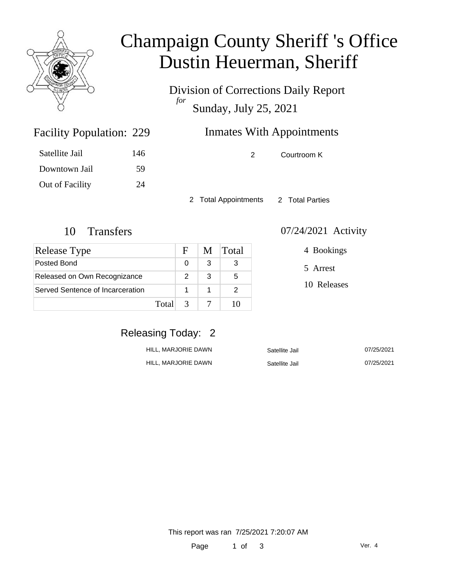

# Champaign County Sheriff 's Office Dustin Heuerman, Sheriff

Division of Corrections Daily Report *for* Sunday, July 25, 2021

## Inmates With Appointments

| Satellite Jail  | 146 |
|-----------------|-----|
| Downtown Jail   | 59  |
| Out of Facility | 24  |

Facility Population: 229

2 Courtroom K

2 Total Appointments 2 Total Parties

| Release Type                     |       | F             | M | <b>Total</b> |
|----------------------------------|-------|---------------|---|--------------|
| Posted Bond                      |       | ∩             | 3 |              |
| Released on Own Recognizance     |       | $\mathcal{P}$ | 3 | 5            |
| Served Sentence of Incarceration |       |               |   |              |
|                                  | Total | $\mathcal{R}$ |   |              |

#### 10 Transfers 07/24/2021 Activity

4 Bookings

5 Arrest

10 Releases

### Releasing Today: 2

| HILL. MARJORIE DAWN | Satellite Jail | 07/25/2021 |
|---------------------|----------------|------------|
| HILL. MARJORIE DAWN | Satellite Jail | 07/25/2021 |

This report was ran 7/25/2021 7:20:07 AM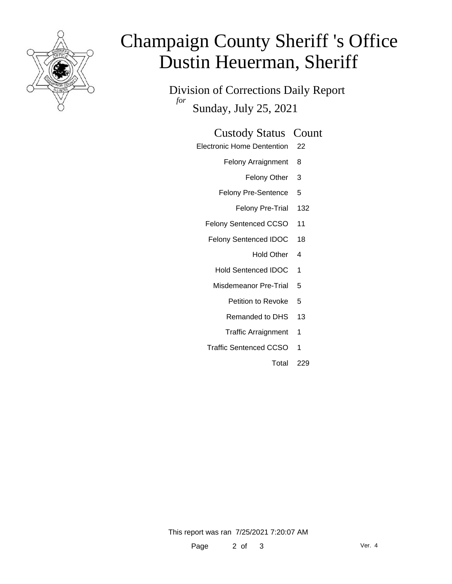

# Champaign County Sheriff 's Office Dustin Heuerman, Sheriff

Division of Corrections Daily Report *for* Sunday, July 25, 2021

#### Custody Status Count

- Electronic Home Dentention 22
	- Felony Arraignment 8
		- Felony Other 3
	- Felony Pre-Sentence 5
		- Felony Pre-Trial 132
	- Felony Sentenced CCSO 11
	- Felony Sentenced IDOC 18
		- Hold Other 4
		- Hold Sentenced IDOC 1
		- Misdemeanor Pre-Trial 5
			- Petition to Revoke 5
			- Remanded to DHS 13
			- Traffic Arraignment 1
	- Traffic Sentenced CCSO 1
		- Total 229

This report was ran 7/25/2021 7:20:07 AM